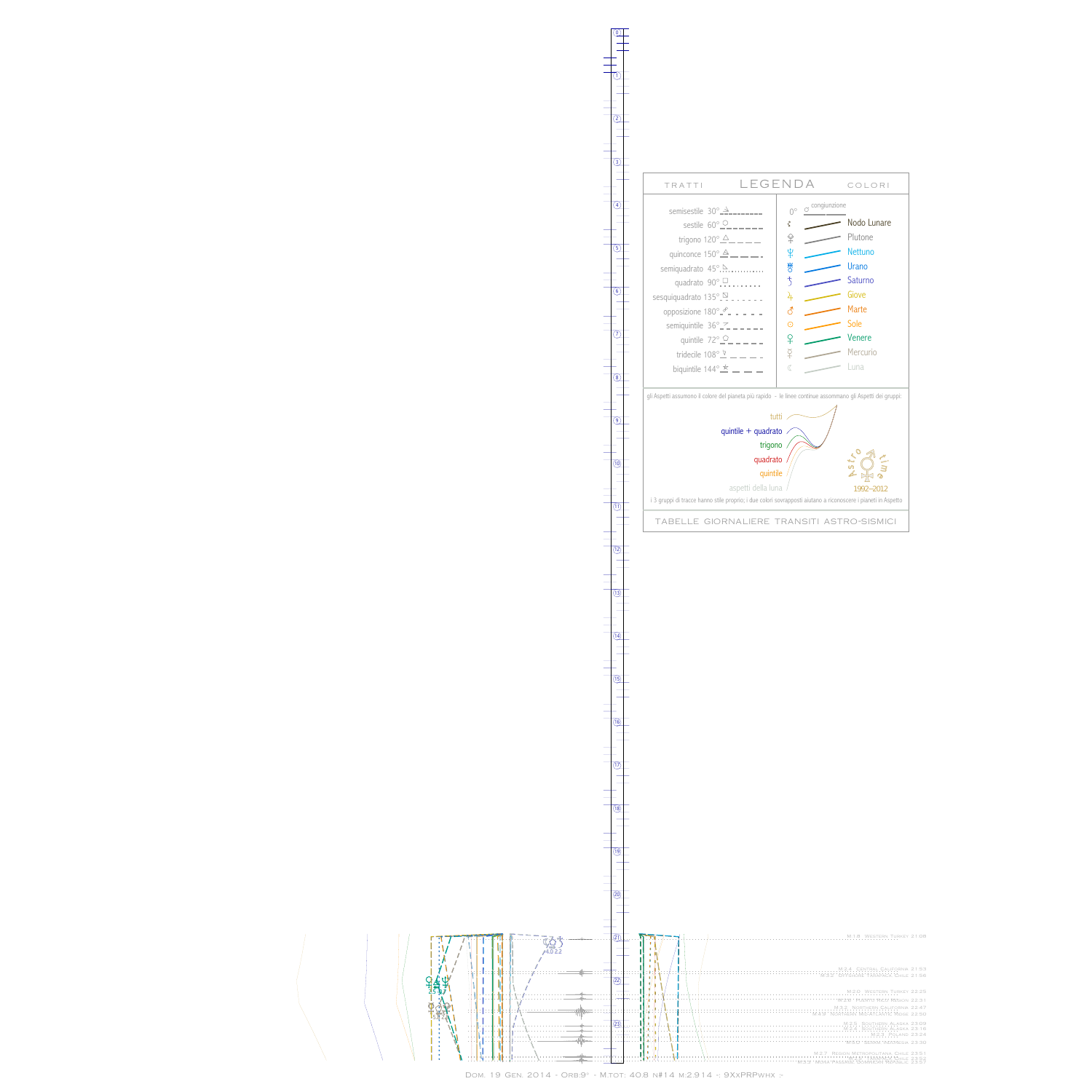